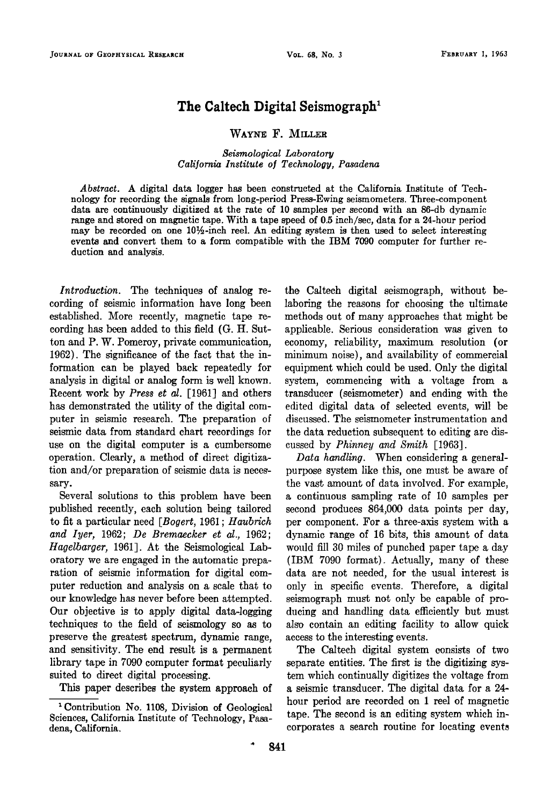## **The Caltech Digital Seismograph**

WAYNE F. MILLER

**Seismological Laboratory Cali]ornia Institute o] Technology, Pasadena** 

**Abstract. A digital data logger has been constructed at the California Institute of Technology for recording the signals from long-period Press-Ewing seismometers. Three-component data are continuously digitized at the rate of 10 samples per second with an 86-db dynamic range and stored on magnetic tape. With a tape speed of 0.5 inch/sec, data for a 24-hour period**  may be recorded on one 10<sup>1</sup>/<sub>2</sub>-inch reel. An editing system is then used to select interesting **events and convert them to a form compatible with the IBM 7090 computer for further reduction and analysis.** 

**Introduction. The techniques of analog recording of seismic information have long been established. More recently, magnetic tape recording has been added to this field (G. It. Sutton and P. W. Pomeroy, private communication, 1962). The significance of the fact that the information can be played back repeatedly for analysis in digital or analog form is well known. Recent work by Press et al. [1961] and others has demonstrated the utility of the digital computer in seismic research. The preparation of seismic data from standard chart. recordings for use on the digital computer is a cumbersome**  operation. Clearly, a method of direct digitiza**tion and/or preparation of seismic data is neces**sarv.

Several solutions to this problem have been published recently, each solution being tailored **to fit a particular need [Bogerr, 1961; Haubrich and Iyer, 1962; De Bremaecker et al., 1962; Hagelbarger, 1961]. At the Seismological Laboratory we are engaged in the automatic preparation of seismic information for digital computer reduction and analysis on a scale that to our knowledge has never before been attempted. Our objective is to apply digital data-logging techniques to the field of seismology so as to preserve the greatest spectrum, dynamic range, and sensitivity. The end result is a permanent library tape in 7090 computer format peculiarly suited to direct digital processing.** 

**This paper describes the system approach of** 

**the Caltech digital seismograph, without belaboring the reasons for choosing the ultimate methods out of many approaches that might be applicable. Serious consideration was given to economy, reliability, maximum resolution (or minimum noise), and availability of commercial equipment which could be used. Only the digital system, commencing with a voltage from a transducer (seismometer) and ending with the edited digital data of selected events, will be discussed. The seismometer instrumentation and the data reduction subsequent to editing are discussed by Phinney and Smith [1963].** 

**Data handling. When considering a generalpurpose system like this, one must be aware of the vast amount of data involved. For example, a continuous sampling rate of 10 samples per second produces 864,000 data points per day, per component. For a three-axis system with a dynamic range of 16 bits, this amount of data would fill 30 miles of punched paper tape a day (IBM 7090 format). Actually, many of these data are not needed, for the usual interest is only in specific events. Therefore, a digital seismograph must not only be. capable of producing and handling data efficiently but must also contain an editing facility to allow quick access to the interesting events.** 

**The Caltech digital system consists of two separate entities. The first is the digitizing system which continually digitizes the voltage from a seismic transducer. The distal data for a 24 hour period are recorded on I reel of magnetic tape. The second is an editing system which incorporates a search routine for locating events** 

**<sup>•</sup>Contribution No. 1108, Division of Geological Sciences, California Institute of Technology, Pasadena, California.**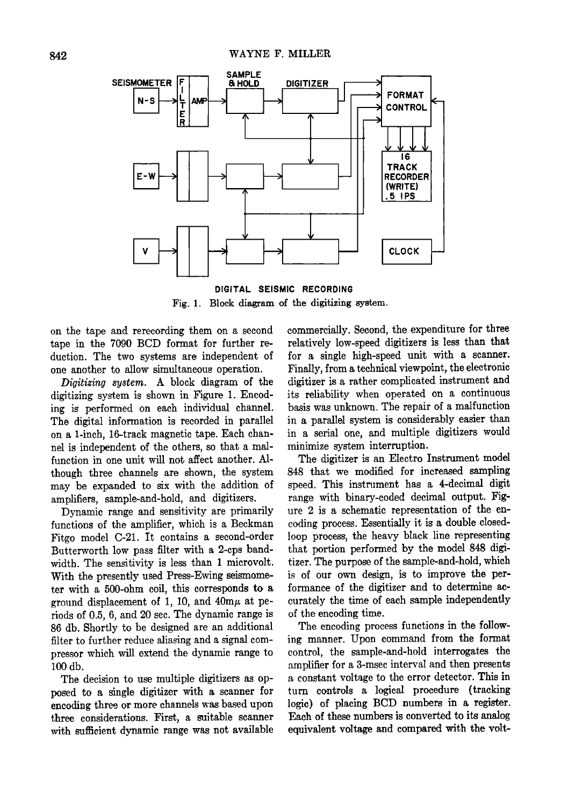

**DIGITAL SEISMIC RECORDING Fig. 1. Block disgram of the digitizing system.** 

**on the tape and rerecording them on a second tape in the 7090 BCD format for further re**duction. The two systems are independent of **one another to allow simultaneous operation.** 

**Digitizing system. A block diagram of the digitizing system is shown in Figure 1. Encoding is performed on each individual channel. The digital information is recorded in parallel on a 1-inch, 16-track magnetic tape. Each channel is independent of the others, so that a malfunction in one unit will not affect another. Although three channels are shown, the system may be expanded to six with the addition of amplifiers, sample-and-hold, and digitizers.** 

**Dynamic range and sensitivity are primarily functions of the amplifier, which is a Beckman Fitgo model C-21. It contains a second-order Butterworth low pass filter with a 2-cps bandwidth. The sensitivity is less than I microvolt. With the presently used Press-Ewing seismometer with a 500-ohm coil, this corresponds to a**  ground displacement of 1, 10, and 40m $\mu$  at pe**riods of 0.5, 6, and 20 sec. The dynamic range is 86 db. Shortly to be designed are an additional filter to further reduce aliasing and a signal compressor which will extend the dynamic range to 100 db.** 

**The decision to use multiple digitizers as opposed to a single digitizer with a scanner for encoding three or more channels was based upon three considerations. First, a suitable scanner with sufficient dynamic range was not available**  **commercially. Second, the expenditure for three relatively low-speed digitizers is less than that for a single high-speed unit with a scanner.**  Finally, from a technical viewpoint, the electronic **digitizer is a rather complicated instrument and its reliability when operated on a continuous basis was unknown. The repair of a malfunction in a parallel system is considerably easier than in a serial one, and multiple digitizers would minimize system interruption.** 

**The digitizer is an Electro Instrument model 848 that we modified for increased sampling speed. This instrument has a 4-decimal digit range with binary-coded decimal output. Figure 2 is a schematic representation of the encoding process. Essentially itis a double closedloop process, the heavy black line representing**  that portion performed by the model 848 digi**tizer. The purpose of the sample-and-hold, which**  is of our own design, is to improve the performance of the digitizer and to determine ac**curately the time of each sample independently of the encoding time.** 

**The encoding process functions in the following manner. Upon command from the format control, the sample-and-hold interrogates the amplifier for a 3-msec interval and then presents a constant voltage to the error detector. This in**  turn controls a logical procedure (tracking logic) of placing BCD numbers in a register. **Each of these numbers is converted to its analog equivalent voltage and compared with the volt-**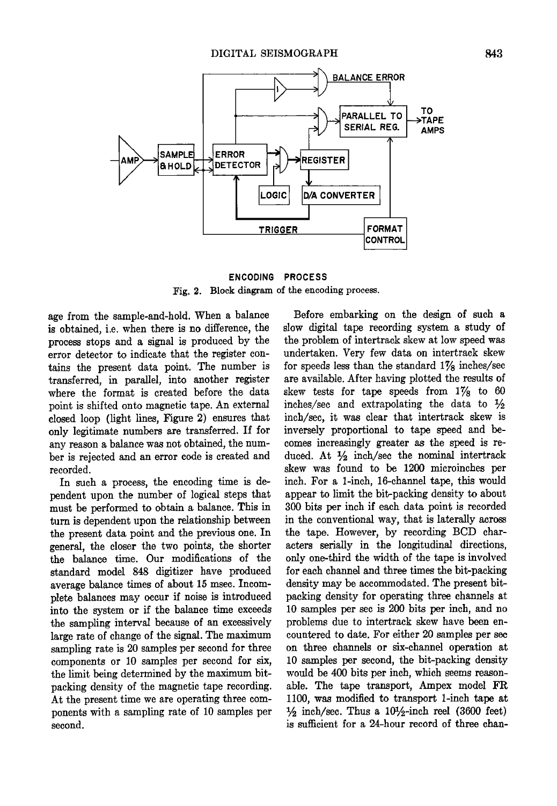

**ENCODING PROCESS Fig. 2. Block diagram of the encoding process.** 

**age from the sample-and-hold. When a balance is obtained, i.e. when there is no difference, the processtops and a signal is produced by the error detector to indicate that the register contains the present data point. The number is transferred, in parallel, into another register where the format is created before the data point is shifted onto magnetic tape. An external closed loop (light lines, Figure 2) ensures that only legitimate numbers are transferred. Iffor any reason a balance was not obtained, the number is rejected and an error code is created and recorded.** 

**In such a process, the encoding time is dependent upon the number of logical steps that must be performed to obtain a balance. This in turn is dependent upon the relationship between the present data point and the previous one. In general, the closer the two points, the shorter the balance time. Our modifications of the standard model 848 digitizer have produced average balance times of about 15 msec. Incomplete balances may occur if noise is introduced into the wstem or if the balance time exceeds the sampling interval because of an excessively large rate of change of the signal. The maximum sampling rate is 20 samples per second for three components or 10 samples per second for six, the limit being determined by the maximum bitpacking density of the magnetic tape recording.**  At the present time we are operating three com**ponents with a sampling rate of 10 samples per second.** 

**Before embarking on the design of such a**  slow digital tape recording system a study of **the problem of intertrack skew at low speed was**  undertaken. Very few data on intertrack skew **for speeds less than the standard 17/s inches/set are available. After having plotted the results of**  skew tests for tape speeds from  $1\%$  to 60 inches/sec and extrapolating the data to  $\frac{1}{2}$ **inch/set, it was clear that intertrack skew is inversely proportional to tape speed and becomes increasingly greater as the speed is re**duced. At  $\frac{1}{2}$  inch/sec the nominal intertrack **skew was found to be 1200 microinches per inch. For a 1-inch, 16-channel tape, this would appear to limit the bit-packing density to about 300 bits per inch if each data point is recorded in the conventional way, that is laterally across the tape. However, by recording BCD characters serially in the longitudinal directions, only one-third the width of the tape is involved for each channel and three times the bit-packing density may be accommodated. The present bitpacking density for operating three channels at 10 samples per sec is 200 bits per inch, and no**  problems due to intertrack skew have been en**countered to date. For either 20 samples per see on three channels or six-channel operation at 10 samples per second, the bit-packing density would be 400 bits per inch, which seems reasonable. The tape transport, Ampex model FR**  1100, was modified to transport 1-inch tape at  $\frac{1}{2}$  inch/sec. Thus a 10<sup>1</sup>/<sub>2</sub>-inch reel (3600 feet) is sufficient for a 24-hour record of three chan-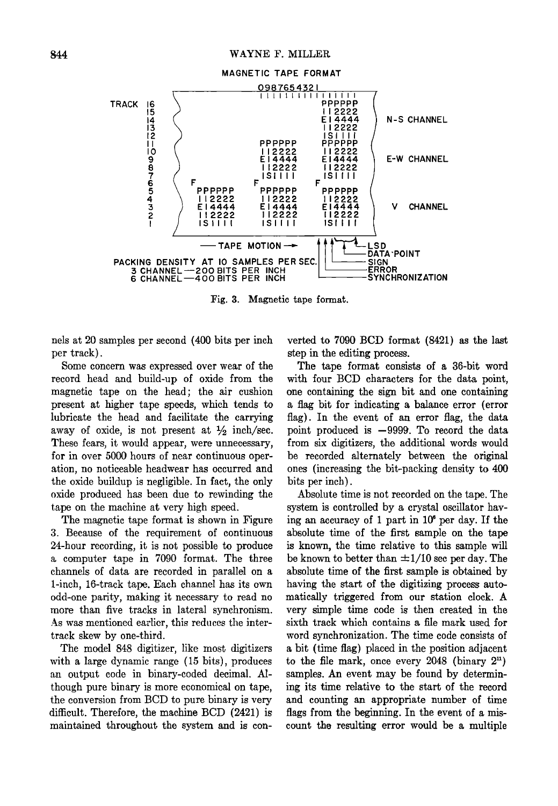

**Fig. 3. Magnetic tape format.** 

**nels at 20 samples per second (400 bits per inch per track).** 

**Some concern was expressed over wear of the record head and build-up of oxide from the magnetic tape on the head; the air cushion present at higher tape speeds, which tends to lubricate the head and facilitate the carrying**  away of oxide, is not present at  $\frac{1}{2}$  inch/sec. These fears, it would appear, were unnecessary, for in over 5000 hours of near continuous oper**ation, no noticeable headwear has occurred and the oxide buildup is negligible. In fact, the only oxide produced has been due to rewinding the tape on the machine at very high speed.** 

**The magnetic tape format is shown in Figure**  3. Because of the requirement of continuous **24-hour recording, it is not possible to produce a computer tape in 7090 format. The three channels of data are recorded in parallel on a 1-inch, 16-track tape. Each channel has its own odd-one parity, making it necessary to read no more than five tracks in lateral synchronism. As was mentioned earlier, this reduces the intertrack skew by one-third.** 

**The model 848 digitizer, like most digitizers with a large dynamic range (15 bits), produces an output code in binary-coded decimal. Although pure binary is more economical on tape, the conversion from BCD to pure binary is very difiqcult. Therefore, the machine BCD (2421) is maintained throughout the system and is con-** **verted to 7090 BCD format (8421) as the last step in the editing process.** 

**The tape format consists of a 36-bit word**  with four BCD characters for the data point, **one containing the sign bit and one containing a flag bit for indicating a balance error (error flag). In the event of an error flag, the data**  point produced is -9999. To record the data **from six digitizers, the additional words would**  be recorded alternately between the original **ones (increasing the bit-packing density to 400 bits per inch).** 

**Absolute time is not recorded on the tape. The system is controlled by a crystal oscillator having an accuracy of 1 part in 106 per day. If the absolute time of the first sample on the tape is known, the time relative to this sample will**  be known to better than  $\pm 1/10$  sec per day. The **absolute time of the first sample is obtained by**  having the start of the digitizing process automatically triggered from our station clock. A **very simple time code is then created in the sixth track which contains a file mark used for word synchronization. The time code consists of a bit (time flag) placed in the position adjacent**  to the file mark, once every  $2048$  (binary  $2<sup>n</sup>$ ) **samples. An event may be found by determining its time relative to the start of the record and counting an appropriate number of time flags from the beginning. In the event of a miscount the resulting error would be a multiple**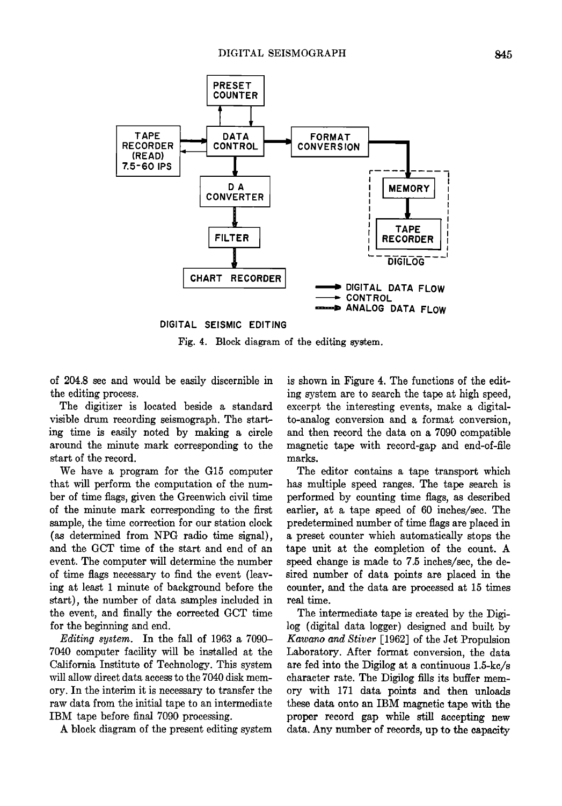

**DIGITAL SEISMIC EDITING** 

**Fig. 4. Block diagram of the editing system.** 

**of 204.8 sec and would be easfiy discernible in the editing process.** 

**The digitizer is located beside a standard visible drum recording seismograph. The starting time is easily noted by making a circle around the minute mark corresponding to the s'tart of the record.** 

**We. have a program for the G15 computer that will perform the computation of the number of time flags, given the Greenwich civil time of the minute mark corresponding to the first sample, the time correction for our station clock (as determined from NPG radio time signal), and the GCT time of the start and end of an event. The computer will determine the number of time flags necessary to find the event (leaving at least i minute of background before the start), the number of data samples included in the event, and finally the corrected GCT time**  for the beginning and end.

**Editing system. In the fall of 1963 a 7090- 7040 computer facility will be installed at the California Institute of Technology. This system will allow direct data access to the 7040 disk memory. In the interim it is necessary to transfer the raw data from the initial tape to an intermediate IBM tape before final 7090 processing.** 

**A block diagram of the present editing system** 

**is shown in Figure 4. The functions of the editing system are to search the tape at high speed, excerpt the interesting events, make a digitalto-analog conversion and a format. conversion, and then record the data on a 7090 compatible magnetic tape with record-gap and end-of-file marks.** 

**The editor contains a tape transport which has multiple speed ranges. The tape search is performed by counting time flags, as described earlier, at a tape speed of 60 inches/sec. The predetermined number of time flags are placed in a preset counter which automatically stops the tape unit at the completion of the count. A speed change is made to 7.5 inches/see, the desired number of data points are placed in the counter, and the data are processed at 15 times real time.** 

**The intermediate tape is created by the Digilog (digital data logger) designed and built. by Kawano and Stiver [1962] of the Jet Propulsion Laboratory. After format conversion, the data are fed into the Digflog at a continuous 1.5-kc/s character rate. The Digilog fills its buffer memory with 171 data points and then unloads these data onto an IBM magnetic tape with the proper record gap while still accepting new data. Any number of records, up to the capacity**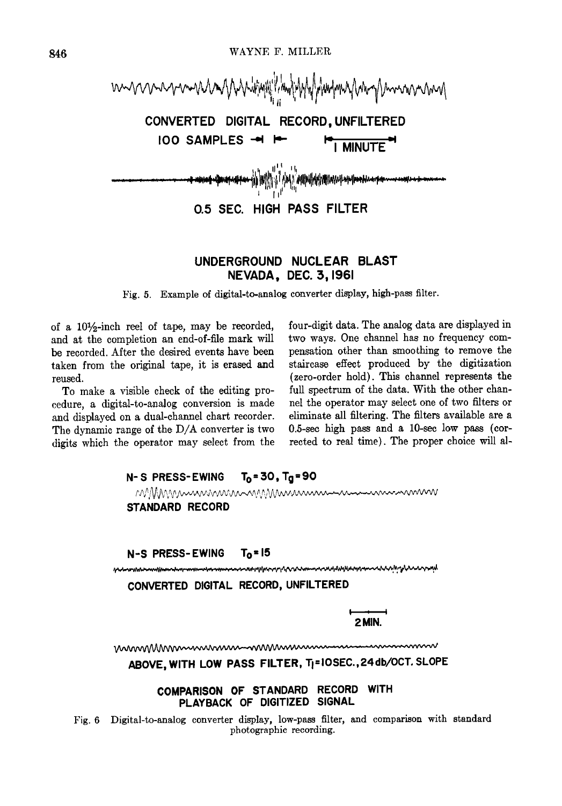

## **UNDERGROUND NUCLEAR BLAST NEVADA, DEC. 3, 1961**

**]Fig. 5. Example of digital-to-analog converter display, high-pass filter.** 

of a 10<sup>1</sup>/<sub>2</sub>-inch reel of tape, may be recorded, **and at the completion an end-of-file mark will be recorded. After the desired events have been taken from the original tape, it is erased and reused.** 

**To make a visible check of the editing procedure, a digital-to-analog conversion is made and displayed on a dual-channel chart recorder. The dynamic range of the D/A converter is two digits which the operator may select from the**  **four-digit data. The analog data are displayed in**  two ways. One channel has no frequency com**pensation other than smoothing to remove the staircase effect produced by the digitization (zero-order hold). This channel represents the full spectrum of the data. With the other chan**nel the operator may select one of two filters or **eliminate all filtering. The filters available are a 0.5-see high pass and a 10-see low pass (corrected to real time). The proper choice will al-**

| N-S PRESS-EWING $T_0 = 30$ , $T_0 = 90$ |                                                                                                                |
|-----------------------------------------|----------------------------------------------------------------------------------------------------------------|
|                                         | MMMMMMMMMMMMMMMMMmmmmmmmmmm                                                                                    |
| <b>STANDARD RECORD</b>                  |                                                                                                                |
| $N-S$ PRESS-EWING $T_0 = 15$            |                                                                                                                |
|                                         | manning manning and the manning and the manning and the manning and the manning and the manning and the mannin |
|                                         | CONVERTED DIGITAL RECORD, UNFILTERED                                                                           |
|                                         | 2 MIN                                                                                                          |
|                                         | <u>mmmMmmmmmmmmmmmmmmmmmmmmmm</u>                                                                              |
|                                         | ABOVE, WITH LOW PASS FILTER, TI=10SEC., 24 db/OCT. SLOPE                                                       |
| <b>COMPARISON OF STANDARD</b>           | <b>WITH</b><br><b>RECORD</b><br><b>SIGNAL</b><br>PLAYBACK OF DIGITIZED                                         |

**Fig. 6. Digital-to-analog converter display, low-pass filter, and comparison with standard photographic recording.**